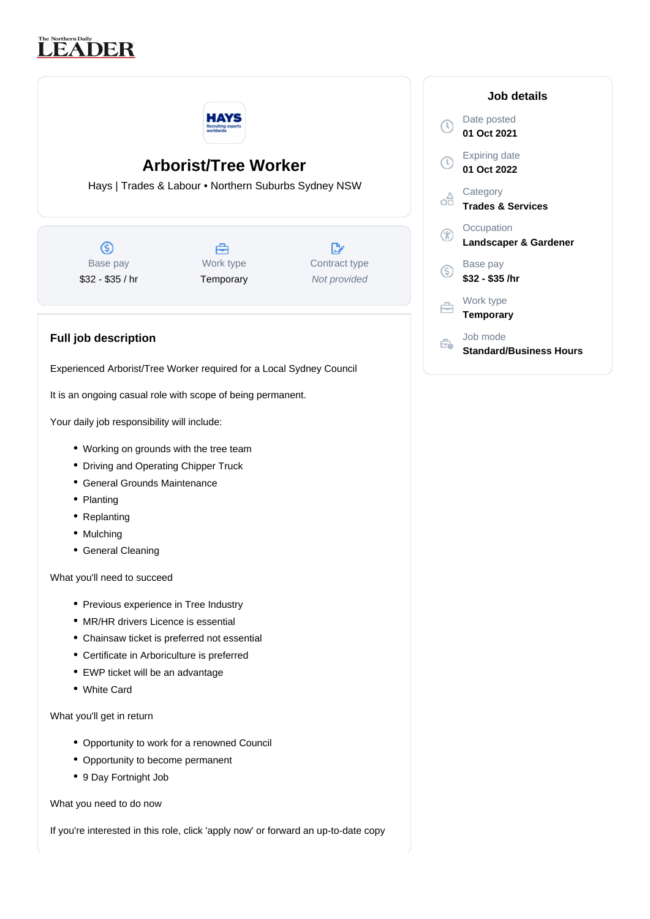## The Northern Daily<br> **LEADER**



## **Arborist/Tree Worker**

Hays | Trades & Labour • Northern Suburbs Sydney NSW

 $\circledS$ Base pay \$32 - \$35 / hr



Temporary

 $\mathbb{R}^n$ Contract type Not provided

## **Full job description**

Experienced Arborist/Tree Worker required for a Local Sydney Council

It is an ongoing casual role with scope of being permanent.

Your daily job responsibility will include:

- Working on grounds with the tree team
- Driving and Operating Chipper Truck
- General Grounds Maintenance
- Planting
- Replanting
- Mulching
- General Cleaning

What you'll need to succeed

- Previous experience in Tree Industry
- MR/HR drivers Licence is essential
- Chainsaw ticket is preferred not essential
- Certificate in Arboriculture is preferred
- EWP ticket will be an advantage
- White Card

What you'll get in return

- Opportunity to work for a renowned Council
- Opportunity to become permanent
- 9 Day Fortnight Job

What you need to do now

If you're interested in this role, click 'apply now' or forward an up-to-date copy

|   | Job details                                |
|---|--------------------------------------------|
|   | Date posted<br>01 Oct 2021                 |
|   | <b>Expiring date</b><br>01 Oct 2022        |
|   | Category<br><b>Trades &amp; Services</b>   |
|   | Occupation<br>Landscaper & Gardener        |
| S | Base pay<br>\$32 - \$35 /hr                |
|   | Work type<br><b>Temporary</b>              |
|   | Job mode<br><b>Standard/Business Hours</b> |